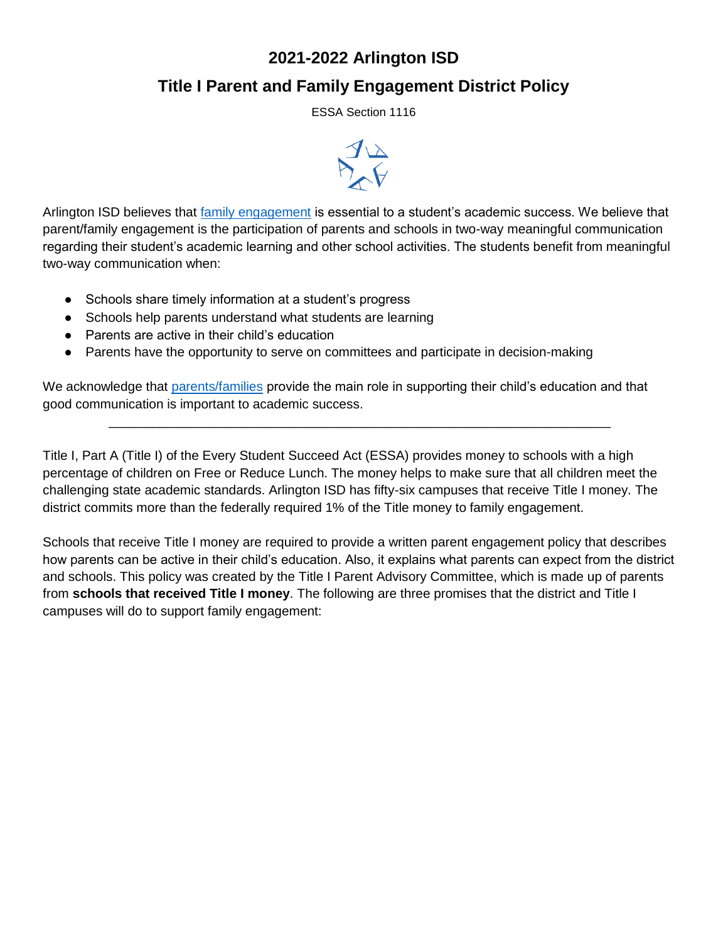# **2021-2022 Arlington ISD**

# **Title I Parent and Family Engagement District Policy**

ESSA Section 1116



Arlington ISD believes that [family engagement](#page-4-0) is essential to a student's academic success. We believe that parent/family engagement is the participation of parents and schools in two-way meaningful communication regarding their student's academic learning and other school activities. The students benefit from meaningful two-way communication when:

- Schools share timely information at a student's progress
- Schools help parents understand what students are learning
- Parents are active in their child's education
- Parents have the opportunity to serve on committees and participate in decision-making

We acknowledge that [parents/families](#page-4-1) provide the main role in supporting their child's education and that good communication is important to academic success.

\_\_\_\_\_\_\_\_\_\_\_\_\_\_\_\_\_\_\_\_\_\_\_\_\_\_\_\_\_\_\_\_\_\_\_\_\_\_\_\_\_\_\_\_\_\_\_\_\_\_\_\_\_\_\_\_\_\_\_\_\_\_\_\_\_\_\_\_\_

Title I, Part A (Title I) of the Every Student Succeed Act (ESSA) provides money to schools with a high percentage of children on Free or Reduce Lunch. The money helps to make sure that all children meet the challenging state academic standards. Arlington ISD has fifty-six campuses that receive Title I money. The district commits more than the federally required 1% of the Title money to family engagement.

Schools that receive Title I money are required to provide a written parent engagement policy that describes how parents can be active in their child's education. Also, it explains what parents can expect from the district and schools. This policy was created by the Title I Parent Advisory Committee, which is made up of parents from **schools that received Title I money**. The following are three promises that the district and Title I campuses will do to support family engagement: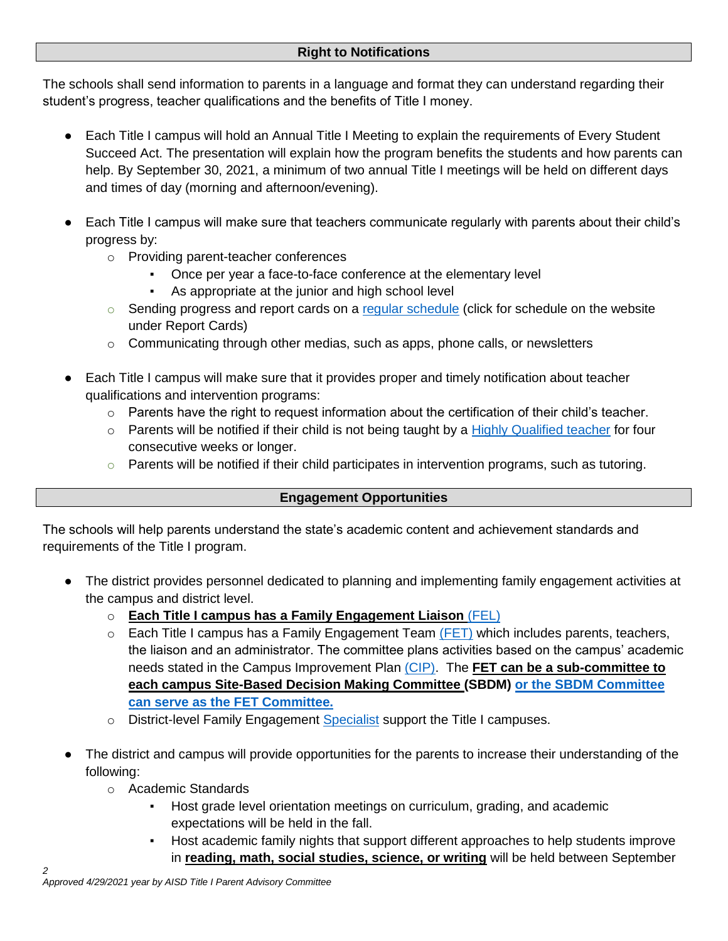The schools shall send information to parents in a language and format they can understand regarding their student's progress, teacher qualifications and the benefits of Title I money.

- Each Title I campus will hold an Annual Title I Meeting to explain the requirements of Every Student Succeed Act. The presentation will explain how the program benefits the students and how parents can help. By September 30, 2021, a minimum of two annual Title I meetings will be held on different days and times of day (morning and afternoon/evening).
- Each Title I campus will make sure that teachers communicate regularly with parents about their child's progress by:
	- o Providing parent-teacher conferences
		- Once per year a face-to-face conference at the elementary level
		- As appropriate at the junior and high school level
	- $\circ$  Sending progress and report cards on a [regular schedule](https://www.aisd.net/district/about/report-cards/) (click for schedule on the website under Report Cards)
	- $\circ$  Communicating through other medias, such as apps, phone calls, or newsletters
- Each Title I campus will make sure that it provides proper and timely notification about teacher qualifications and intervention programs:
	- $\circ$  Parents have the right to request information about the certification of their child's teacher.
	- $\circ$  Parents will be notified if their child is not being taught by a [Highly Qualified teacher](#page-4-1) for four consecutive weeks or longer.
	- $\circ$  Parents will be notified if their child participates in intervention programs, such as tutoring.

### <span id="page-1-0"></span>**Engagement Opportunities**

The schools will help parents understand the state's academic content and achievement standards and requirements of the Title I program.

- The district provides personnel dedicated to planning and implementing family engagement activities at the campus and district level.
	- o **Each Title I campus has a Family Engagement Liaison** [\(FEL\)](#page-1-0)
	- $\circ$  Each Title I campus has a Family Engagement Team [\(FET\)](#page-4-2) which includes parents, teachers, the liaison and an administrator. The committee plans activities based on the campus' academic needs stated in the Campus Improvement Plan [\(CIP\).](#page-4-3) The **FET can be a sub-committee to each campus Site-Based Decision Making Committee (SBDM) or the SBDM Committee can serve as the FET Committee.**
	- o District-level Family Engagement [Specialist](#page-4-4) support the Title I campuses.
- The district and campus will provide opportunities for the parents to increase their understanding of the following:
	- o Academic Standards
		- Host grade level orientation meetings on curriculum, grading, and academic expectations will be held in the fall.
		- Host academic family nights that support different approaches to help students improve in **reading, math, social studies, science, or writing** will be held between September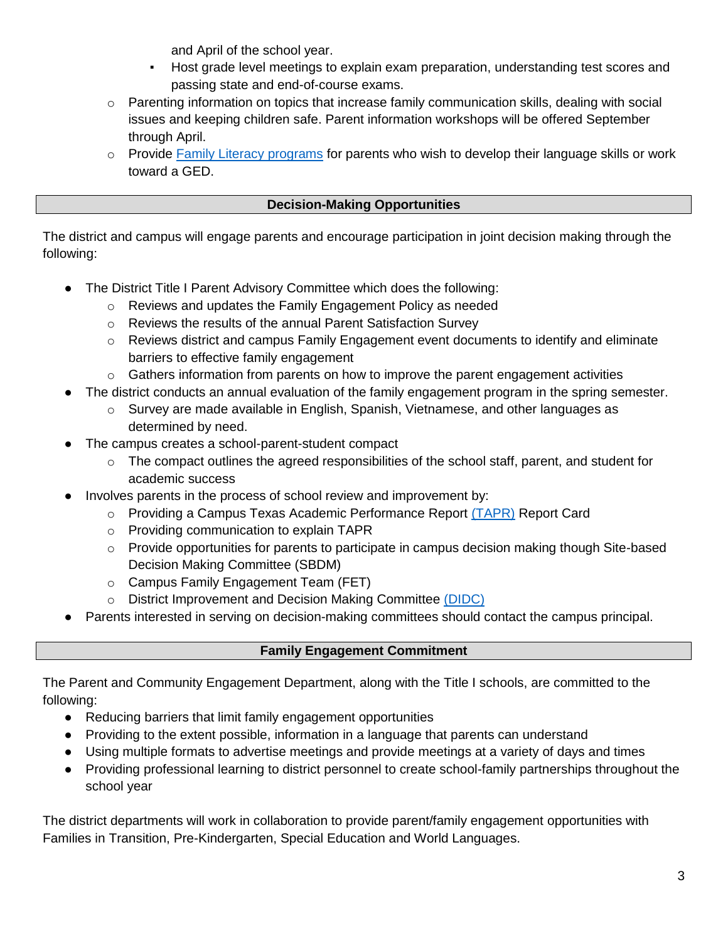and April of the school year.

- Host grade level meetings to explain exam preparation, understanding test scores and passing state and end-of-course exams.
- $\circ$  Parenting information on topics that increase family communication skills, dealing with social issues and keeping children safe. Parent information workshops will be offered September through April.
- $\circ$  Provide [Family Literacy programs](#page-3-0) for parents who wish to develop their language skills or work toward a GED.

### **Decision-Making Opportunities**

The district and campus will engage parents and encourage participation in joint decision making through the following:

- The District Title I Parent Advisory Committee which does the following:
	- o Reviews and updates the Family Engagement Policy as needed
	- o Reviews the results of the annual Parent Satisfaction Survey
	- $\circ$  Reviews district and campus Family Engagement event documents to identify and eliminate barriers to effective family engagement
	- $\circ$  Gathers information from parents on how to improve the parent engagement activities
- The district conducts an annual evaluation of the family engagement program in the spring semester.
	- $\circ$  Survey are made available in English, Spanish, Vietnamese, and other languages as determined by need.
- The campus creates a school-parent-student compact
	- $\circ$  The compact outlines the agreed responsibilities of the school staff, parent, and student for academic success
- Involves parents in the process of school review and improvement by:
	- o Providing a Campus Texas Academic Performance Report [\(TAPR\)](#page-4-5) Report Card
	- o Providing communication to explain TAPR
	- $\circ$  Provide opportunities for parents to participate in campus decision making though Site-based Decision Making Committee (SBDM)
	- o Campus Family Engagement Team (FET)
	- o District Improvement and Decision Making Committee [\(DIDC\)](#page-4-6)
- Parents interested in serving on decision-making committees should contact the campus principal.

## **Family Engagement Commitment**

The Parent and Community Engagement Department, along with the Title I schools, are committed to the following:

- Reducing barriers that limit family engagement opportunities
- Providing to the extent possible, information in a language that parents can understand
- Using multiple formats to advertise meetings and provide meetings at a variety of days and times
- Providing professional learning to district personnel to create school-family partnerships throughout the school year

The district departments will work in collaboration to provide parent/family engagement opportunities with Families in Transition, Pre-Kindergarten, Special Education and World Languages.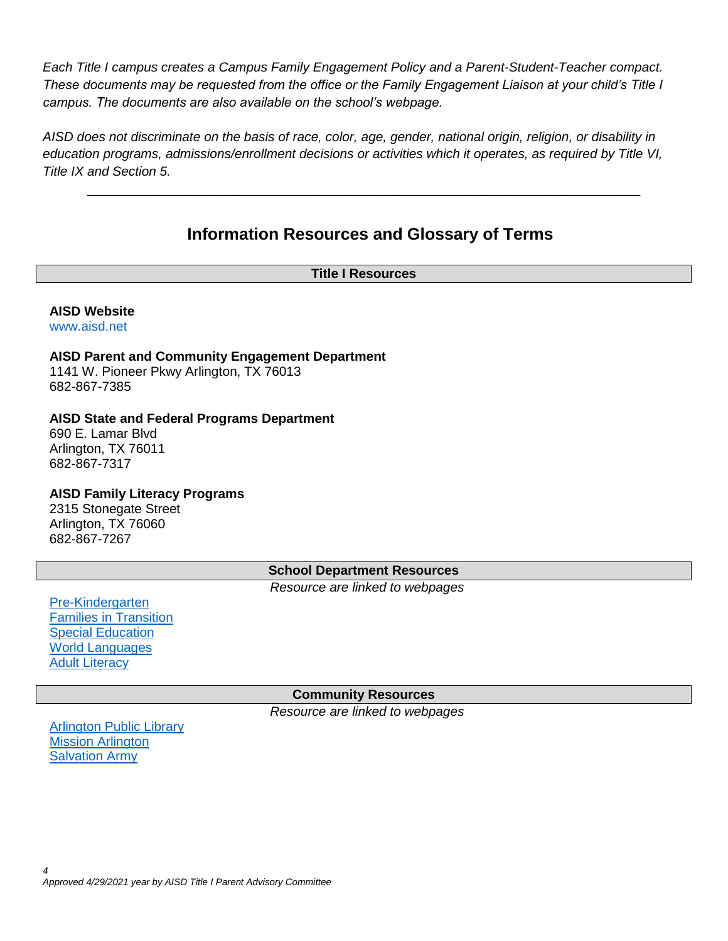*Each Title I campus creates a Campus Family Engagement Policy and a Parent-Student-Teacher compact. These documents may be requested from the office or the Family Engagement Liaison at your child's Title I campus. The documents are also available on the school's webpage.*

*AISD does not discriminate on the basis of race, color, age, gender, national origin, religion, or disability in education programs, admissions/enrollment decisions or activities which it operates, as required by Title VI, Title IX and Section 5.*

# **Information Resources and Glossary of Terms**

\_\_\_\_\_\_\_\_\_\_\_\_\_\_\_\_\_\_\_\_\_\_\_\_\_\_\_\_\_\_\_\_\_\_\_\_\_\_\_\_\_\_\_\_\_\_\_\_\_\_\_\_\_\_\_\_\_\_\_\_\_\_\_\_\_\_\_\_\_\_\_\_\_\_\_\_

#### **Title I Resources**

## **AISD Website**

[www.aisd.net](http://www.aisd.net/)

#### **AISD Parent and Community Engagement Department** 1141 W. Pioneer Pkwy Arlington, TX 76013 682-867-7385

### **AISD State and Federal Programs Department**

690 E. Lamar Blvd Arlington, TX 76011 682-867-7317

### <span id="page-3-0"></span>**AISD Family Literacy Programs**

2315 Stonegate Street Arlington, TX 76060 682-867-7267

### **School Department Resources**

*Resource are linked to webpages*

[Pre-Kindergarten](https://www.aisd.net/district/departments/academic-services/specialized-learning-services/early-childhood-learning/prek-enrollment/) [Families in Transition](https://www.aisd.net/district/departments/academic-services/transformational-learning/social-and-emotional-learning/student-outreach-services/families-in-transition/) [Special Education](https://www.aisd.net/district/departments/academic-services/specialized-learning-services/special-education/) [World Languages](https://www.aisd.net/district/departments/academic-services/specialized-learning-services/world-languages/) [Adult Literacy](https://www.aisd.net/?s=Adult+Literacy)

### **Community Resources**

*Resource are linked to webpages*

[Arlington Public Library](https://www.arlingtonlibrary.org/) [Mission Arlington](https://missionarlington.org/) **[Salvation Army](https://www.salvationarmyusa.org/usn/)**